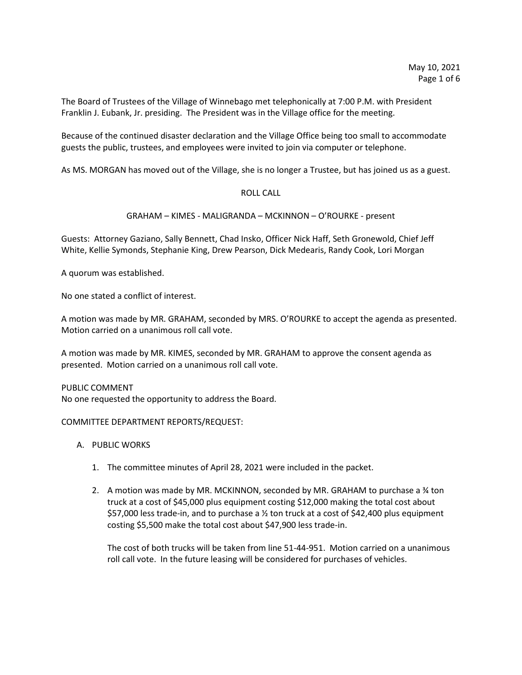The Board of Trustees of the Village of Winnebago met telephonically at 7:00 P.M. with President Franklin J. Eubank, Jr. presiding. The President was in the Village office for the meeting.

Because of the continued disaster declaration and the Village Office being too small to accommodate guests the public, trustees, and employees were invited to join via computer or telephone.

As MS. MORGAN has moved out of the Village, she is no longer a Trustee, but has joined us as a guest.

## ROLL CALL

## GRAHAM – KIMES - MALIGRANDA – MCKINNON – O'ROURKE - present

Guests: Attorney Gaziano, Sally Bennett, Chad Insko, Officer Nick Haff, Seth Gronewold, Chief Jeff White, Kellie Symonds, Stephanie King, Drew Pearson, Dick Medearis, Randy Cook, Lori Morgan

A quorum was established.

No one stated a conflict of interest.

A motion was made by MR. GRAHAM, seconded by MRS. O'ROURKE to accept the agenda as presented. Motion carried on a unanimous roll call vote.

A motion was made by MR. KIMES, seconded by MR. GRAHAM to approve the consent agenda as presented. Motion carried on a unanimous roll call vote.

PUBLIC COMMENT No one requested the opportunity to address the Board.

### COMMITTEE DEPARTMENT REPORTS/REQUEST:

# A. PUBLIC WORKS

- 1. The committee minutes of April 28, 2021 were included in the packet.
- 2. A motion was made by MR. MCKINNON, seconded by MR. GRAHAM to purchase a ¾ ton truck at a cost of \$45,000 plus equipment costing \$12,000 making the total cost about \$57,000 less trade-in, and to purchase a ½ ton truck at a cost of \$42,400 plus equipment costing \$5,500 make the total cost about \$47,900 less trade-in.

The cost of both trucks will be taken from line 51-44-951. Motion carried on a unanimous roll call vote. In the future leasing will be considered for purchases of vehicles.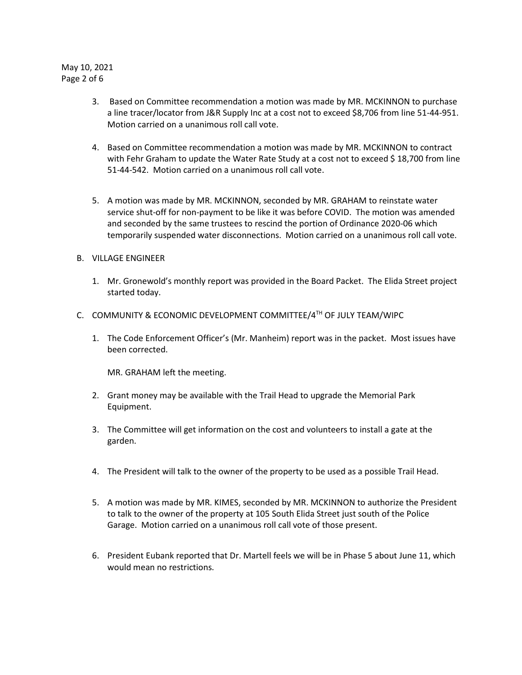# May 10, 2021 Page 2 of 6

- 3. Based on Committee recommendation a motion was made by MR. MCKINNON to purchase a line tracer/locator from J&R Supply Inc at a cost not to exceed \$8,706 from line 51-44-951. Motion carried on a unanimous roll call vote.
- 4. Based on Committee recommendation a motion was made by MR. MCKINNON to contract with Fehr Graham to update the Water Rate Study at a cost not to exceed \$ 18,700 from line 51-44-542. Motion carried on a unanimous roll call vote.
- 5. A motion was made by MR. MCKINNON, seconded by MR. GRAHAM to reinstate water service shut-off for non-payment to be like it was before COVID. The motion was amended and seconded by the same trustees to rescind the portion of Ordinance 2020-06 which temporarily suspended water disconnections. Motion carried on a unanimous roll call vote.
- B. VILLAGE ENGINEER
	- 1. Mr. Gronewold's monthly report was provided in the Board Packet. The Elida Street project started today.
- C. COMMUNITY & ECONOMIC DEVELOPMENT COMMITTEE/ $4^{TH}$  OF JULY TEAM/WIPC
	- 1. The Code Enforcement Officer's (Mr. Manheim) report was in the packet. Most issues have been corrected.

MR. GRAHAM left the meeting.

- 2. Grant money may be available with the Trail Head to upgrade the Memorial Park Equipment.
- 3. The Committee will get information on the cost and volunteers to install a gate at the garden.
- 4. The President will talk to the owner of the property to be used as a possible Trail Head.
- 5. A motion was made by MR. KIMES, seconded by MR. MCKINNON to authorize the President to talk to the owner of the property at 105 South Elida Street just south of the Police Garage. Motion carried on a unanimous roll call vote of those present.
- 6. President Eubank reported that Dr. Martell feels we will be in Phase 5 about June 11, which would mean no restrictions.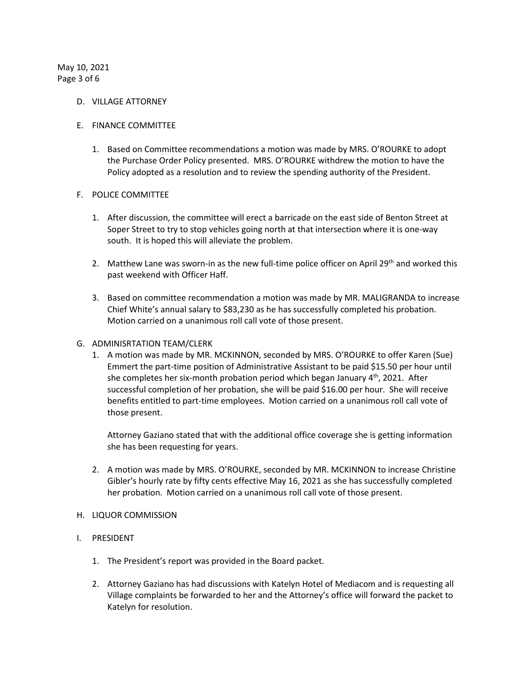May 10, 2021 Page 3 of 6

#### D. VILLAGE ATTORNEY

#### E. FINANCE COMMITTEE

1. Based on Committee recommendations a motion was made by MRS. O'ROURKE to adopt the Purchase Order Policy presented. MRS. O'ROURKE withdrew the motion to have the Policy adopted as a resolution and to review the spending authority of the President.

### F. POLICE COMMITTEE

- 1. After discussion, the committee will erect a barricade on the east side of Benton Street at Soper Street to try to stop vehicles going north at that intersection where it is one-way south. It is hoped this will alleviate the problem.
- 2. Matthew Lane was sworn-in as the new full-time police officer on April 29th and worked this past weekend with Officer Haff.
- 3. Based on committee recommendation a motion was made by MR. MALIGRANDA to increase Chief White's annual salary to \$83,230 as he has successfully completed his probation. Motion carried on a unanimous roll call vote of those present.

### G. ADMINISRTATION TEAM/CLERK

1. A motion was made by MR. MCKINNON, seconded by MRS. O'ROURKE to offer Karen (Sue) Emmert the part-time position of Administrative Assistant to be paid \$15.50 per hour until she completes her six-month probation period which began January  $4<sup>th</sup>$ , 2021. After successful completion of her probation, she will be paid \$16.00 per hour. She will receive benefits entitled to part-time employees. Motion carried on a unanimous roll call vote of those present.

Attorney Gaziano stated that with the additional office coverage she is getting information she has been requesting for years.

2. A motion was made by MRS. O'ROURKE, seconded by MR. MCKINNON to increase Christine Gibler's hourly rate by fifty cents effective May 16, 2021 as she has successfully completed her probation. Motion carried on a unanimous roll call vote of those present.

### H. LIQUOR COMMISSION

### I. PRESIDENT

- 1. The President's report was provided in the Board packet.
- 2. Attorney Gaziano has had discussions with Katelyn Hotel of Mediacom and is requesting all Village complaints be forwarded to her and the Attorney's office will forward the packet to Katelyn for resolution.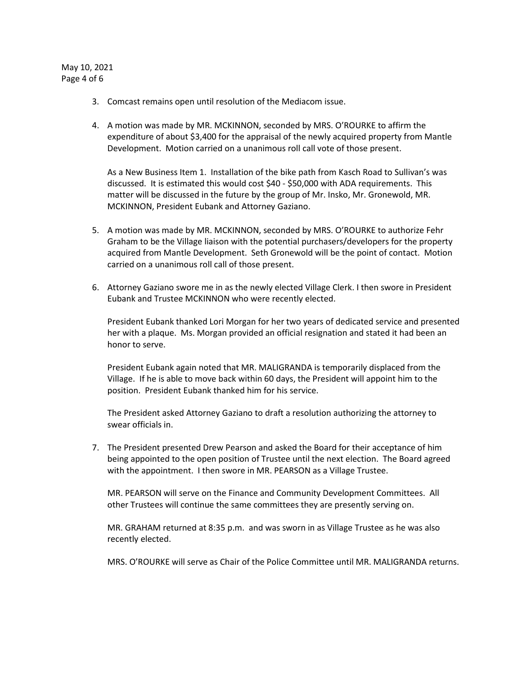# May 10, 2021 Page 4 of 6

- 3. Comcast remains open until resolution of the Mediacom issue.
- 4. A motion was made by MR. MCKINNON, seconded by MRS. O'ROURKE to affirm the expenditure of about \$3,400 for the appraisal of the newly acquired property from Mantle Development. Motion carried on a unanimous roll call vote of those present.

As a New Business Item 1. Installation of the bike path from Kasch Road to Sullivan's was discussed. It is estimated this would cost \$40 - \$50,000 with ADA requirements. This matter will be discussed in the future by the group of Mr. Insko, Mr. Gronewold, MR. MCKINNON, President Eubank and Attorney Gaziano.

- 5. A motion was made by MR. MCKINNON, seconded by MRS. O'ROURKE to authorize Fehr Graham to be the Village liaison with the potential purchasers/developers for the property acquired from Mantle Development. Seth Gronewold will be the point of contact. Motion carried on a unanimous roll call of those present.
- 6. Attorney Gaziano swore me in as the newly elected Village Clerk. I then swore in President Eubank and Trustee MCKINNON who were recently elected.

President Eubank thanked Lori Morgan for her two years of dedicated service and presented her with a plaque. Ms. Morgan provided an official resignation and stated it had been an honor to serve.

President Eubank again noted that MR. MALIGRANDA is temporarily displaced from the Village. If he is able to move back within 60 days, the President will appoint him to the position. President Eubank thanked him for his service.

The President asked Attorney Gaziano to draft a resolution authorizing the attorney to swear officials in.

7. The President presented Drew Pearson and asked the Board for their acceptance of him being appointed to the open position of Trustee until the next election. The Board agreed with the appointment. I then swore in MR. PEARSON as a Village Trustee.

MR. PEARSON will serve on the Finance and Community Development Committees. All other Trustees will continue the same committees they are presently serving on.

MR. GRAHAM returned at 8:35 p.m. and was sworn in as Village Trustee as he was also recently elected.

MRS. O'ROURKE will serve as Chair of the Police Committee until MR. MALIGRANDA returns.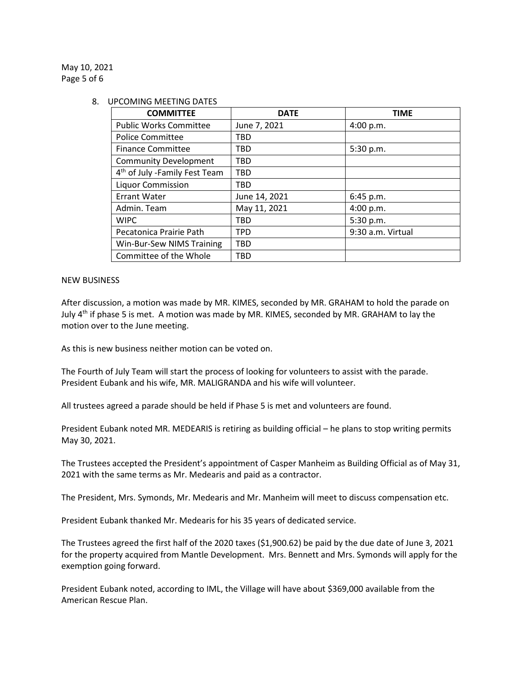May 10, 2021 Page 5 of 6

#### 8. UPCOMING MEETING DATES

| <b>COMMITTEE</b>                          | <b>DATE</b>   | <b>TIME</b>       |
|-------------------------------------------|---------------|-------------------|
| <b>Public Works Committee</b>             | June 7, 2021  | 4:00 p.m.         |
| <b>Police Committee</b>                   | <b>TBD</b>    |                   |
| <b>Finance Committee</b>                  | <b>TBD</b>    | 5:30 p.m.         |
| <b>Community Development</b>              | <b>TBD</b>    |                   |
| 4 <sup>th</sup> of July -Family Fest Team | <b>TBD</b>    |                   |
| <b>Liquor Commission</b>                  | <b>TBD</b>    |                   |
| <b>Errant Water</b>                       | June 14, 2021 | 6:45 p.m.         |
| Admin. Team                               | May 11, 2021  | 4:00 p.m.         |
| <b>WIPC</b>                               | <b>TBD</b>    | 5:30 p.m.         |
| Pecatonica Prairie Path                   | <b>TPD</b>    | 9:30 a.m. Virtual |
| Win-Bur-Sew NIMS Training                 | <b>TBD</b>    |                   |
| Committee of the Whole                    | <b>TBD</b>    |                   |

### NEW BUSINESS

After discussion, a motion was made by MR. KIMES, seconded by MR. GRAHAM to hold the parade on July 4<sup>th</sup> if phase 5 is met. A motion was made by MR. KIMES, seconded by MR. GRAHAM to lay the motion over to the June meeting.

As this is new business neither motion can be voted on.

The Fourth of July Team will start the process of looking for volunteers to assist with the parade. President Eubank and his wife, MR. MALIGRANDA and his wife will volunteer.

All trustees agreed a parade should be held if Phase 5 is met and volunteers are found.

President Eubank noted MR. MEDEARIS is retiring as building official – he plans to stop writing permits May 30, 2021.

The Trustees accepted the President's appointment of Casper Manheim as Building Official as of May 31, 2021 with the same terms as Mr. Medearis and paid as a contractor.

The President, Mrs. Symonds, Mr. Medearis and Mr. Manheim will meet to discuss compensation etc.

President Eubank thanked Mr. Medearis for his 35 years of dedicated service.

The Trustees agreed the first half of the 2020 taxes (\$1,900.62) be paid by the due date of June 3, 2021 for the property acquired from Mantle Development. Mrs. Bennett and Mrs. Symonds will apply for the exemption going forward.

President Eubank noted, according to IML, the Village will have about \$369,000 available from the American Rescue Plan.